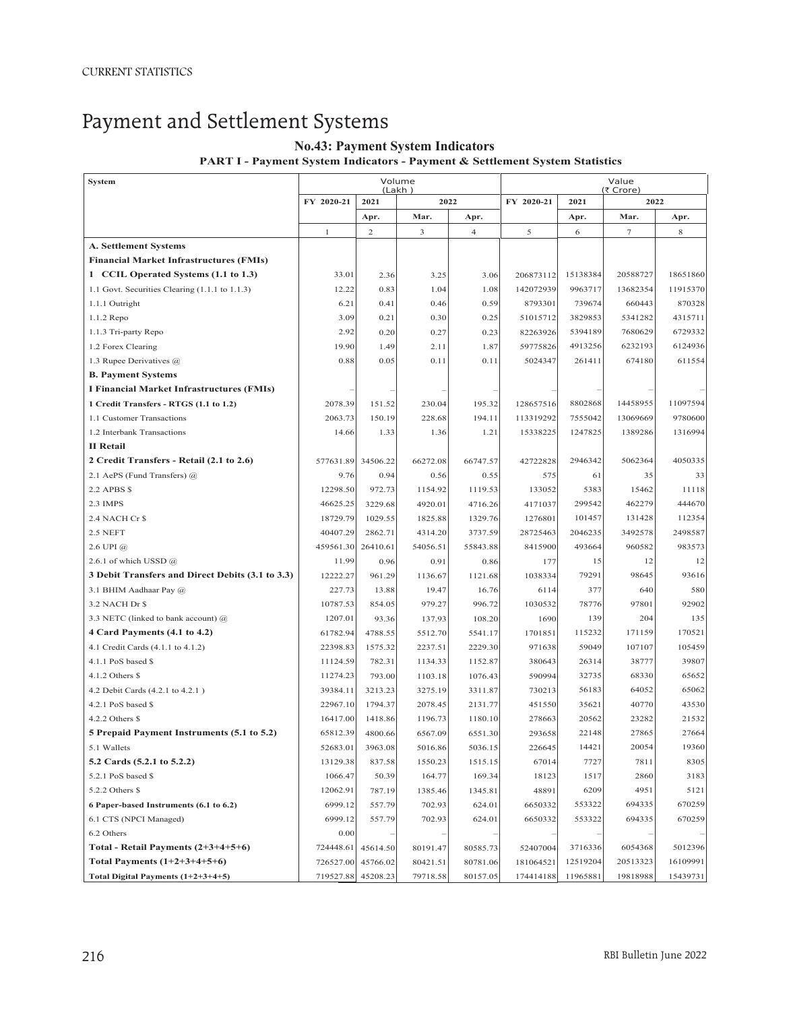# Payment and Settlement Systems

## **No.43: Payment System Indicators**

### **PART I - Payment System Indicators - Payment & Settlement System Statistics**

| System                                           | Volume<br>(Lakh) |                |          | Value          |            |                           |          |          |
|--------------------------------------------------|------------------|----------------|----------|----------------|------------|---------------------------|----------|----------|
|                                                  | FY 2020-21       | 2021           | 2022     |                | FY 2020-21 | (₹ Crore)<br>2022<br>2021 |          |          |
|                                                  |                  | Apr.           | Mar.     | Apr.           |            | Apr.                      | Mar.     | Apr.     |
|                                                  | $\mathbf{1}$     | $\overline{c}$ | 3        | $\overline{4}$ | 5          | 6                         | $\tau$   | 8        |
| <b>A. Settlement Systems</b>                     |                  |                |          |                |            |                           |          |          |
| <b>Financial Market Infrastructures (FMIs)</b>   |                  |                |          |                |            |                           |          |          |
| 1 CCIL Operated Systems (1.1 to 1.3)             | 33.01            | 2.36           | 3.25     | 3.06           | 206873112  | 15138384                  | 20588727 | 18651860 |
| 1.1 Govt. Securities Clearing (1.1.1 to 1.1.3)   | 12.22            | 0.83           | 1.04     | 1.08           | 142072939  | 9963717                   | 13682354 | 11915370 |
| 1.1.1 Outright                                   | 6.21             | 0.41           | 0.46     | 0.59           | 8793301    | 739674                    | 660443   | 870328   |
| 1.1.2 Repo                                       | 3.09             | 0.21           | 0.30     | 0.25           | 51015712   | 3829853                   | 5341282  | 4315711  |
| 1.1.3 Tri-party Repo                             | 2.92             | 0.20           | 0.27     | 0.23           | 82263926   | 5394189                   | 7680629  | 6729332  |
| 1.2 Forex Clearing                               | 19.90            | 1.49           | 2.11     | 1.87           | 59775826   | 4913256                   | 6232193  | 6124936  |
| 1.3 Rupee Derivatives $(a)$                      | 0.88             | 0.05           | 0.11     | 0.11           | 5024347    | 261411                    | 674180   | 611554   |
| <b>B. Payment Systems</b>                        |                  |                |          |                |            |                           |          |          |
| I Financial Market Infrastructures (FMIs)        |                  |                |          |                |            |                           |          |          |
| 1 Credit Transfers - RTGS (1.1 to 1.2)           | 2078.39          | 151.52         | 230.04   | 195.32         | 128657516  | 8802868                   | 14458955 | 11097594 |
| 1.1 Customer Transactions                        | 2063.73          | 150.19         | 228.68   | 194.11         | 113319292  | 7555042                   | 13069669 | 9780600  |
| 1.2 Interbank Transactions                       | 14.66            | 1.33           | 1.36     | 1.21           | 15338225   | 1247825                   | 1389286  | 1316994  |
| <b>II</b> Retail                                 |                  |                |          |                |            |                           |          |          |
| 2 Credit Transfers - Retail (2.1 to 2.6)         | 577631.89        | 34506.22       | 66272.08 | 66747.57       | 42722828   | 2946342                   | 5062364  | 4050335  |
| 2.1 AePS (Fund Transfers) @                      | 9.76             | 0.94           | 0.56     | 0.55           | 575        | 61                        | 35       | 33       |
| 2.2 APBS \$                                      | 12298.50         | 972.73         | 1154.92  | 1119.53        | 133052     | 5383                      | 15462    | 11118    |
| 2.3 IMPS                                         | 46625.25         | 3229.68        | 4920.01  | 4716.26        | 4171037    | 299542                    | 462279   | 444670   |
| 2.4 NACH Cr \$                                   | 18729.79         | 1029.55        | 1825.88  | 1329.76        | 1276801    | 101457                    | 131428   | 112354   |
| 2.5 NEFT                                         | 40407.29         | 2862.71        | 4314.20  | 3737.59        | 28725463   | 2046235                   | 3492578  | 2498587  |
| $2.6$ UPI $(a)$                                  | 459561.30        | 26410.61       | 54056.51 | 55843.88       | 8415900    | 493664                    | 960582   | 983573   |
| 2.6.1 of which USSD @                            | 11.99            | 0.96           | 0.91     | 0.86           | 177        | 15                        | 12       | 12       |
| 3 Debit Transfers and Direct Debits (3.1 to 3.3) | 12222.27         | 961.29         | 1136.67  | 1121.68        | 1038334    | 79291                     | 98645    | 93616    |
| 3.1 BHIM Aadhaar Pay @                           | 227.73           | 13.88          | 19.47    | 16.76          | 6114       | 377                       | 640      | 580      |
| 3.2 NACH Dr \$                                   | 10787.53         | 854.05         | 979.27   | 996.72         | 1030532    | 78776                     | 97801    | 92902    |
| 3.3 NETC (linked to bank account) @              | 1207.01          | 93.36          | 137.93   | 108.20         | 1690       | 139                       | 204      | 135      |
| 4 Card Payments (4.1 to 4.2)                     | 61782.94         | 4788.55        | 5512.70  | 5541.17        | 1701851    | 115232                    | 171159   | 170521   |
| 4.1 Credit Cards (4.1.1 to 4.1.2)                | 22398.83         | 1575.32        | 2237.51  | 2229.30        | 971638     | 59049                     | 107107   | 105459   |
| 4.1.1 PoS based \$                               | 11124.59         | 782.31         | 1134.33  | 1152.87        | 380643     | 26314                     | 38777    | 39807    |
| 4.1.2 Others \$                                  | 11274.23         | 793.00         | 1103.18  | 1076.43        | 590994     | 32735                     | 68330    | 65652    |
| 4.2 Debit Cards (4.2.1 to 4.2.1)                 | 39384.11         | 3213.23        | 3275.19  | 3311.87        | 730213     | 56183                     | 64052    | 65062    |
| 4.2.1 PoS based \$                               | 22967.10         | 1794.37        | 2078.45  | 2131.77        | 451550     | 35621                     | 40770    | 43530    |
| $4.2.2$ Others \$                                | 16417.00         | 1418.86        | 1196.73  | 1180.10        | 278663     | 20562                     | 23282    | 21532    |
| 5 Prepaid Payment Instruments (5.1 to 5.2)       | 65812.39         | 4800.66        | 6567.09  | 6551.30        | 293658     | 22148                     | 27865    | 27664    |
| 5.1 Wallets                                      | 52683.01         | 3963.08        | 5016.86  | 5036.15        | 226645     | 14421                     | 20054    | 19360    |
| 5.2 Cards (5.2.1 to 5.2.2)                       | 13129.38         | 837.58         | 1550.23  | 1515.15        | 67014      | 7727                      | 7811     | 8305     |
| 5.2.1 PoS based \$                               | 1066.47          | 50.39          | 164.77   | 169.34         | 18123      | 1517                      | 2860     | 3183     |
| 5.2.2 Others \$                                  | 12062.91         | 787.19         | 1385.46  | 1345.81        | 48891      | 6209                      | 4951     | 5121     |
| 6 Paper-based Instruments (6.1 to 6.2)           | 6999.12          | 557.79         | 702.93   | 624.01         | 6650332    | 553322                    | 694335   | 670259   |
| 6.1 CTS (NPCI Managed)                           | 6999.12          | 557.79         | 702.93   | 624.01         | 6650332    | 553322                    | 694335   | 670259   |
| 6.2 Others                                       | 0.00             |                |          |                |            |                           |          |          |
| Total - Retail Payments $(2+3+4+5+6)$            | 724448.61        | 45614.50       | 80191.47 | 80585.73       | 52407004   | 3716336                   | 6054368  | 5012396  |
| Total Payments $(1+2+3+4+5+6)$                   | 726527.00        | 45766.02       | 80421.51 | 80781.06       | 181064521  | 12519204                  | 20513323 | 16109991 |
| Total Digital Payments $(1+2+3+4+5)$             | 719527.88        | 45208.23       | 79718.58 | 80157.05       | 174414188  | 11965881                  | 19818988 | 15439731 |